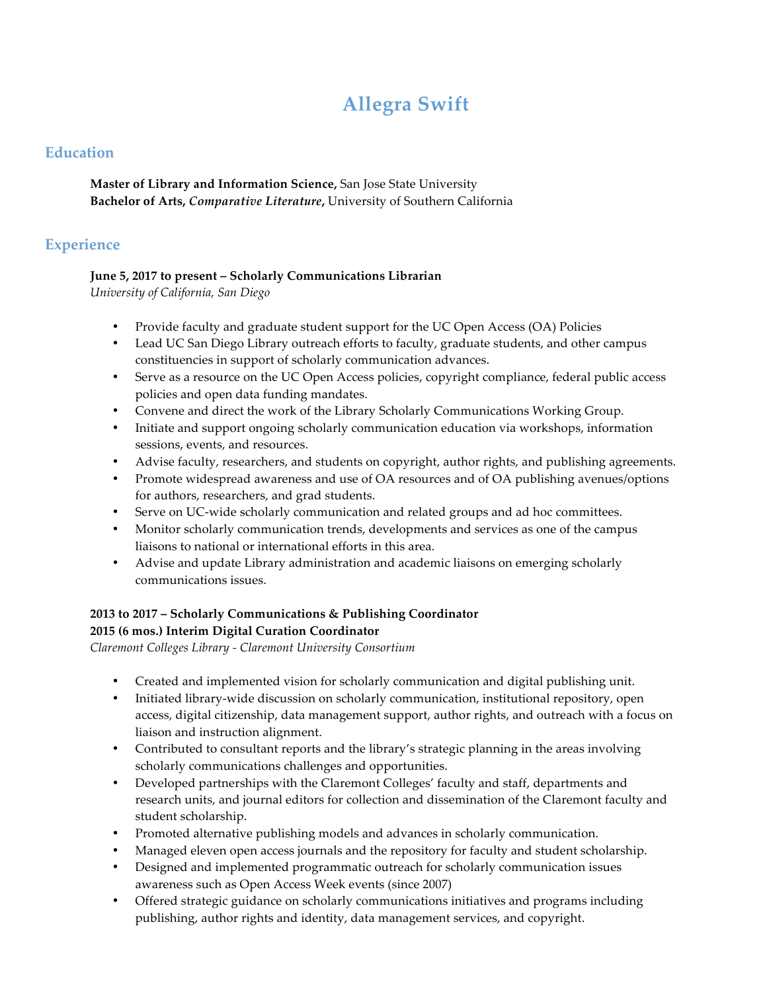# **Allegra Swift**

## **Education**

**Master of Library and Information Science,** San Jose State University **Bachelor of Arts,** *Comparative Literature***,** University of Southern California

## **Experience**

## **June 5, 2017 to present – Scholarly Communications Librarian**

*University of California, San Diego*

- Provide faculty and graduate student support for the UC Open Access (OA) Policies
- Lead UC San Diego Library outreach efforts to faculty, graduate students, and other campus constituencies in support of scholarly communication advances.
- Serve as a resource on the UC Open Access policies, copyright compliance, federal public access policies and open data funding mandates.
- Convene and direct the work of the Library Scholarly Communications Working Group.
- Initiate and support ongoing scholarly communication education via workshops, information sessions, events, and resources.
- Advise faculty, researchers, and students on copyright, author rights, and publishing agreements.
- Promote widespread awareness and use of OA resources and of OA publishing avenues/options for authors, researchers, and grad students.
- Serve on UC-wide scholarly communication and related groups and ad hoc committees.
- Monitor scholarly communication trends, developments and services as one of the campus liaisons to national or international efforts in this area.
- Advise and update Library administration and academic liaisons on emerging scholarly communications issues.

#### **2013 to 2017 – Scholarly Communications & Publishing Coordinator 2015 (6 mos.) Interim Digital Curation Coordinator**

*Claremont Colleges Library - Claremont University Consortium* 

- Created and implemented vision for scholarly communication and digital publishing unit.
- Initiated library-wide discussion on scholarly communication, institutional repository, open access, digital citizenship, data management support, author rights, and outreach with a focus on liaison and instruction alignment.
- Contributed to consultant reports and the library's strategic planning in the areas involving scholarly communications challenges and opportunities.
- Developed partnerships with the Claremont Colleges' faculty and staff, departments and research units, and journal editors for collection and dissemination of the Claremont faculty and student scholarship.
- Promoted alternative publishing models and advances in scholarly communication.
- Managed eleven open access journals and the repository for faculty and student scholarship.
- Designed and implemented programmatic outreach for scholarly communication issues awareness such as Open Access Week events (since 2007)
- Offered strategic guidance on scholarly communications initiatives and programs including publishing, author rights and identity, data management services, and copyright.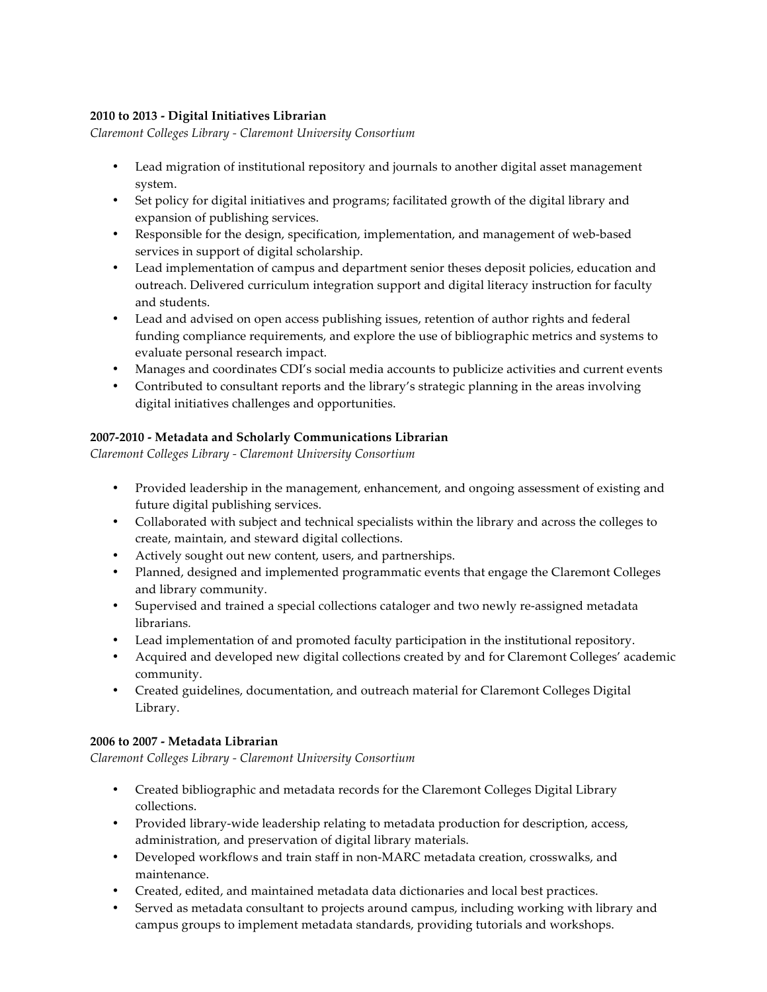#### **2010 to 2013 - Digital Initiatives Librarian**

*Claremont Colleges Library - Claremont University Consortium* 

- Lead migration of institutional repository and journals to another digital asset management system.
- Set policy for digital initiatives and programs; facilitated growth of the digital library and expansion of publishing services.
- Responsible for the design, specification, implementation, and management of web-based services in support of digital scholarship.
- Lead implementation of campus and department senior theses deposit policies, education and outreach. Delivered curriculum integration support and digital literacy instruction for faculty and students.
- Lead and advised on open access publishing issues, retention of author rights and federal funding compliance requirements, and explore the use of bibliographic metrics and systems to evaluate personal research impact.
- Manages and coordinates CDI's social media accounts to publicize activities and current events
- Contributed to consultant reports and the library's strategic planning in the areas involving digital initiatives challenges and opportunities.

#### **2007-2010 - Metadata and Scholarly Communications Librarian**

*Claremont Colleges Library - Claremont University Consortium* 

- Provided leadership in the management, enhancement, and ongoing assessment of existing and future digital publishing services.
- Collaborated with subject and technical specialists within the library and across the colleges to create, maintain, and steward digital collections.
- Actively sought out new content, users, and partnerships.
- Planned, designed and implemented programmatic events that engage the Claremont Colleges and library community.
- Supervised and trained a special collections cataloger and two newly re-assigned metadata librarians*.*
- Lead implementation of and promoted faculty participation in the institutional repository.
- Acquired and developed new digital collections created by and for Claremont Colleges' academic community.
- Created guidelines, documentation, and outreach material for Claremont Colleges Digital Library.

#### **2006 to 2007 - Metadata Librarian**

*Claremont Colleges Library - Claremont University Consortium* 

- Created bibliographic and metadata records for the Claremont Colleges Digital Library collections.
- Provided library-wide leadership relating to metadata production for description, access, administration, and preservation of digital library materials.
- Developed workflows and train staff in non-MARC metadata creation, crosswalks, and maintenance.
- Created, edited, and maintained metadata data dictionaries and local best practices.
- Served as metadata consultant to projects around campus, including working with library and campus groups to implement metadata standards, providing tutorials and workshops.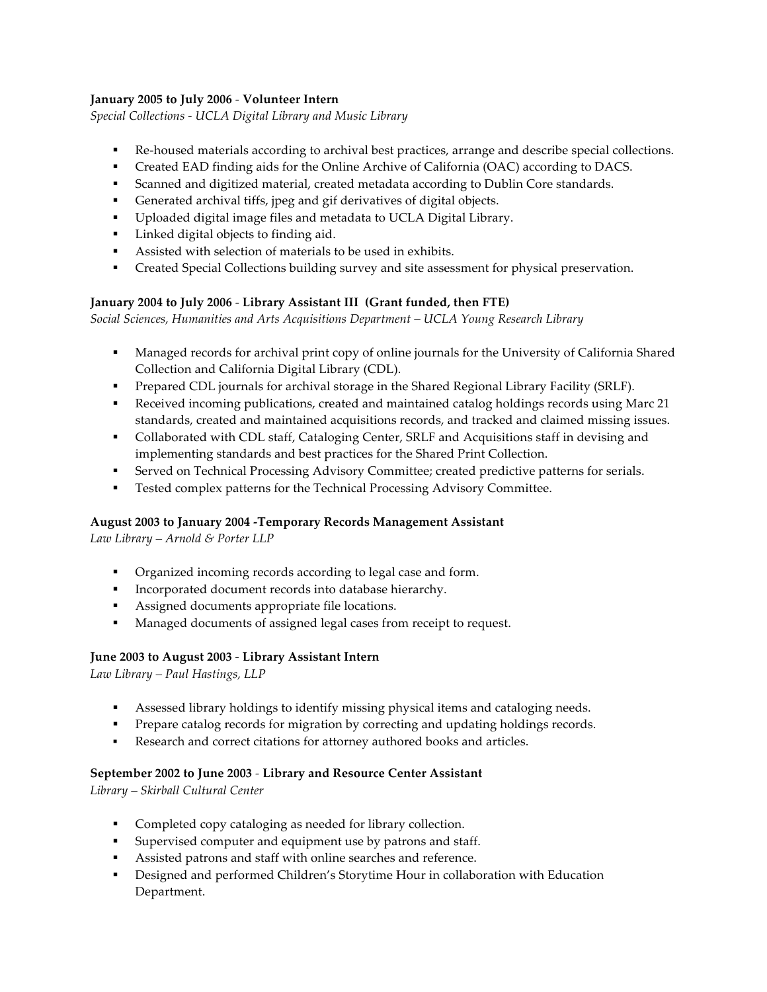#### **January 2005 to July 2006** *-* **Volunteer Intern**

*Special Collections - UCLA Digital Library and Music Library*

- Re-housed materials according to archival best practices, arrange and describe special collections.
- § Created EAD finding aids for the Online Archive of California (OAC) according to DACS.
- § Scanned and digitized material, created metadata according to Dublin Core standards.
- Generated archival tiffs, jpeg and gif derivatives of digital objects.
- Uploaded digital image files and metadata to UCLA Digital Library.
- Linked digital objects to finding aid.
- Assisted with selection of materials to be used in exhibits.
- § Created Special Collections building survey and site assessment for physical preservation.

#### **January 2004 to July 2006** *-* **Library Assistant III (Grant funded, then FTE)**

*Social Sciences, Humanities and Arts Acquisitions Department – UCLA Young Research Library* 

- § Managed records for archival print copy of online journals for the University of California Shared Collection and California Digital Library (CDL).
- Prepared CDL journals for archival storage in the Shared Regional Library Facility (SRLF).
- Received incoming publications, created and maintained catalog holdings records using Marc 21 standards, created and maintained acquisitions records, and tracked and claimed missing issues.
- Collaborated with CDL staff, Cataloging Center, SRLF and Acquisitions staff in devising and implementing standards and best practices for the Shared Print Collection.
- Served on Technical Processing Advisory Committee; created predictive patterns for serials.
- § Tested complex patterns for the Technical Processing Advisory Committee.

#### **August 2003 to January 2004 -Temporary Records Management Assistant**

*Law Library – Arnold & Porter LLP* 

- § Organized incoming records according to legal case and form.
- § Incorporated document records into database hierarchy.
- § Assigned documents appropriate file locations.
- Managed documents of assigned legal cases from receipt to request.

#### **June 2003 to August 2003** *-* **Library Assistant Intern**

*Law Library – Paul Hastings, LLP* 

- **•** Assessed library holdings to identify missing physical items and cataloging needs.
- § Prepare catalog records for migration by correcting and updating holdings records.
- **•** Research and correct citations for attorney authored books and articles.

#### **September 2002 to June 2003** *-* **Library and Resource Center Assistant**

*Library – Skirball Cultural Center*

- § Completed copy cataloging as needed for library collection.
- Supervised computer and equipment use by patrons and staff.
- Assisted patrons and staff with online searches and reference.
- § Designed and performed Children's Storytime Hour in collaboration with Education Department.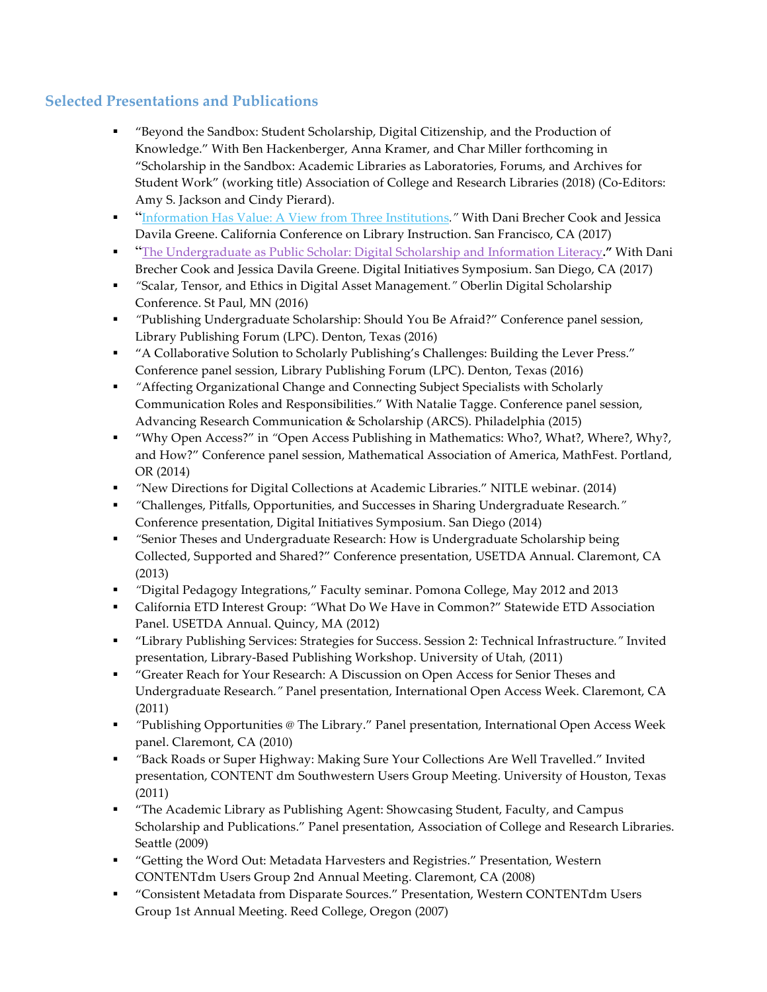# **Selected Presentations and Publications**

- § "Beyond the Sandbox: Student Scholarship, Digital Citizenship, and the Production of Knowledge." With Ben Hackenberger, Anna Kramer, and Char Miller forthcoming in "Scholarship in the Sandbox: Academic Libraries as Laboratories, Forums, and Archives for Student Work" (working title) Association of College and Research Libraries (2018) (Co-Editors: Amy S. Jackson and Cindy Pierard).
- § "Information Has Value: A View from Three Institutions*."* With Dani Brecher Cook and Jessica Davila Greene. California Conference on Library Instruction. San Francisco, CA (2017)
- § "The Undergraduate as Public Scholar: Digital Scholarship and Information Literacy**."** With Dani Brecher Cook and Jessica Davila Greene. Digital Initiatives Symposium. San Diego, CA (2017)
- § *"*Scalar, Tensor, and Ethics in Digital Asset Management*."* Oberlin Digital Scholarship Conference. St Paul, MN (2016)
- § *"*Publishing Undergraduate Scholarship: Should You Be Afraid?" Conference panel session, Library Publishing Forum (LPC). Denton, Texas (2016)
- § "A Collaborative Solution to Scholarly Publishing's Challenges: Building the Lever Press." Conference panel session, Library Publishing Forum (LPC). Denton, Texas (2016)
- § *"*Affecting Organizational Change and Connecting Subject Specialists with Scholarly Communication Roles and Responsibilities." With Natalie Tagge. Conference panel session, Advancing Research Communication & Scholarship (ARCS). Philadelphia (2015)
- § "Why Open Access?" in *"*Open Access Publishing in Mathematics: Who?, What?, Where?, Why?, and How?" Conference panel session, Mathematical Association of America, MathFest. Portland, OR (2014)
- § *"*New Directions for Digital Collections at Academic Libraries." NITLE webinar. (2014)
- § *"*Challenges, Pitfalls, Opportunities, and Successes in Sharing Undergraduate Research*."* Conference presentation, Digital Initiatives Symposium. San Diego (2014)
- § *"*Senior Theses and Undergraduate Research: How is Undergraduate Scholarship being Collected, Supported and Shared?" Conference presentation, USETDA Annual. Claremont, CA (2013)
- § *"*Digital Pedagogy Integrations," Faculty seminar. Pomona College, May 2012 and 2013
- § California ETD Interest Group: *"*What Do We Have in Common?" Statewide ETD Association Panel. USETDA Annual. Quincy, MA (2012)
- § "Library Publishing Services: Strategies for Success. Session 2: Technical Infrastructure*."* Invited presentation, Library-Based Publishing Workshop. University of Utah*,* (2011)
- § "Greater Reach for Your Research: A Discussion on Open Access for Senior Theses and Undergraduate Research*."* Panel presentation, International Open Access Week. Claremont, CA (2011)
- § *"*Publishing Opportunities @ The Library." Panel presentation, International Open Access Week panel. Claremont, CA (2010)
- § *"*Back Roads or Super Highway: Making Sure Your Collections Are Well Travelled." Invited presentation, CONTENT dm Southwestern Users Group Meeting. University of Houston, Texas (2011)
- § "The Academic Library as Publishing Agent: Showcasing Student, Faculty, and Campus Scholarship and Publications." Panel presentation, Association of College and Research Libraries. Seattle (2009)
- § "Getting the Word Out: Metadata Harvesters and Registries." Presentation, Western CONTENTdm Users Group 2nd Annual Meeting. Claremont, CA (2008)
- § "Consistent Metadata from Disparate Sources." Presentation, Western CONTENTdm Users Group 1st Annual Meeting. Reed College, Oregon (2007)